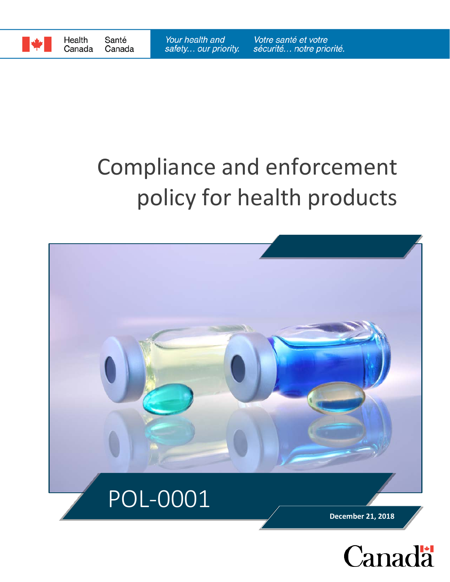

# Compliance and enforcement policy for health products

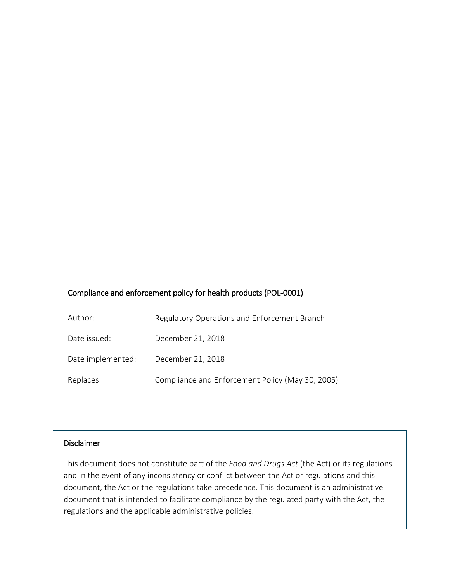#### Compliance and enforcement policy for health products (POL-0001)

| Author:           | Regulatory Operations and Enforcement Branch     |
|-------------------|--------------------------------------------------|
| Date issued:      | December 21, 2018                                |
| Date implemented: | December 21, 2018                                |
| Replaces:         | Compliance and Enforcement Policy (May 30, 2005) |

#### Disclaimer

This document does not constitute part of the *Food and Drugs Act* (the Act) or its regulations and in the event of any inconsistency or conflict between the Act or regulations and this document, the Act or the regulations take precedence. This document is an administrative document that is intended to facilitate compliance by the regulated party with the Act, the regulations and the applicable administrative policies.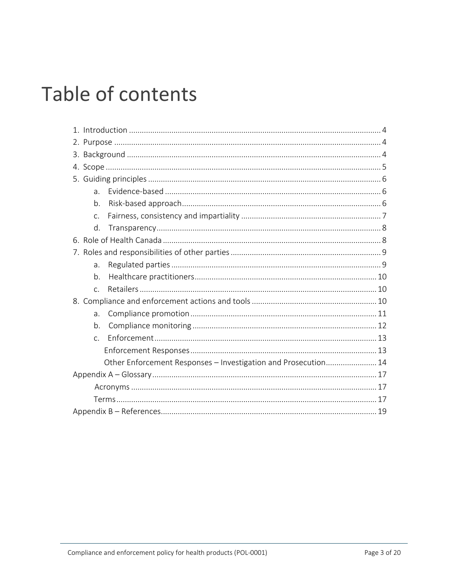## Table of contents

| $\overline{a}$ .                                               |  |  |
|----------------------------------------------------------------|--|--|
| b.                                                             |  |  |
| C.                                                             |  |  |
| d.                                                             |  |  |
|                                                                |  |  |
|                                                                |  |  |
| $\overline{a}$ .                                               |  |  |
| b.                                                             |  |  |
| $\mathsf{C}$ .                                                 |  |  |
|                                                                |  |  |
| a <sub>r</sub>                                                 |  |  |
| b.                                                             |  |  |
| $\mathsf{C}$ .                                                 |  |  |
|                                                                |  |  |
| Other Enforcement Responses - Investigation and Prosecution 14 |  |  |
|                                                                |  |  |
|                                                                |  |  |
|                                                                |  |  |
|                                                                |  |  |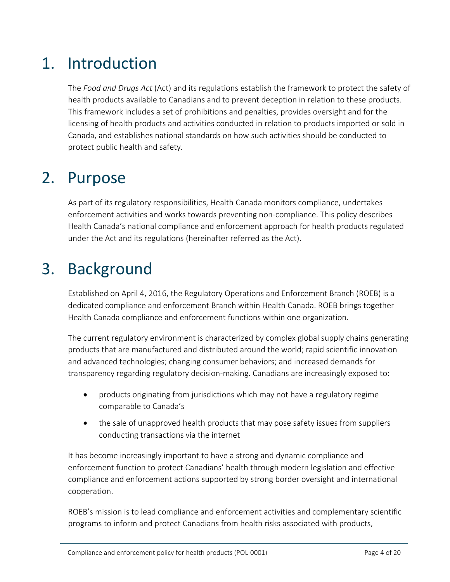## 1. Introduction

The *Food and Drugs Act* (Act) and its regulations establish the framework to protect the safety of health products available to Canadians and to prevent deception in relation to these products. This framework includes a set of prohibitions and penalties, provides oversight and for the licensing of health products and activities conducted in relation to products imported or sold in Canada, and establishes national standards on how such activities should be conducted to protect public health and safety*.*

## 2. Purpose

As part of its regulatory responsibilities, Health Canada monitors compliance, undertakes enforcement activities and works towards preventing non-compliance. This policy describes Health Canada's national compliance and enforcement approach for health products regulated under the Act and its regulations (hereinafter referred as the Act).

## 3. Background

Established on April 4, 2016, the Regulatory Operations and Enforcement Branch (ROEB) is a dedicated compliance and enforcement Branch within Health Canada. ROEB brings together Health Canada compliance and enforcement functions within one organization.

The current regulatory environment is characterized by complex global supply chains generating products that are manufactured and distributed around the world; rapid scientific innovation and advanced technologies; changing consumer behaviors; and increased demands for transparency regarding regulatory decision-making. Canadians are increasingly exposed to:

- products originating from jurisdictions which may not have a regulatory regime comparable to Canada's
- the sale of unapproved health products that may pose safety issues from suppliers conducting transactions via the internet

It has become increasingly important to have a strong and dynamic compliance and enforcement function to protect Canadians' health through modern legislation and effective compliance and enforcement actions supported by strong border oversight and international cooperation.

ROEB's mission is to lead compliance and enforcement activities and complementary scientific programs to inform and protect Canadians from health risks associated with products,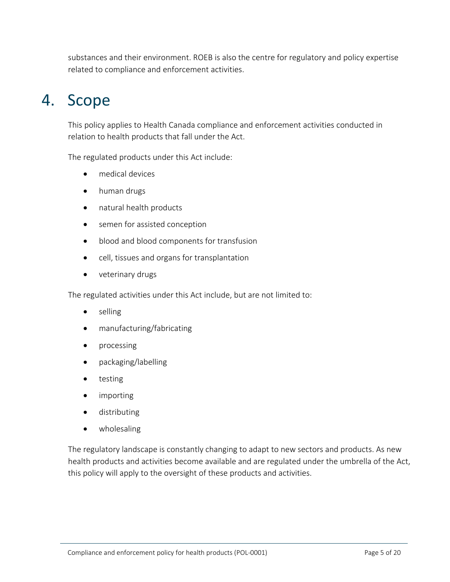substances and their environment. ROEB is also the centre for regulatory and policy expertise related to compliance and enforcement activities.

## 4. Scope

This policy applies to Health Canada compliance and enforcement activities conducted in relation to health products that fall under the Act.

The regulated products under this Act include:

- medical devices
- human drugs
- natural health products
- semen for assisted conception
- blood and blood components for transfusion
- cell, tissues and organs for transplantation
- veterinary drugs

The regulated activities under this Act include, but are not limited to:

- selling
- manufacturing/fabricating
- processing
- packaging/labelling
- testing
- importing
- distributing
- wholesaling

The regulatory landscape is constantly changing to adapt to new sectors and products. As new health products and activities become available and are regulated under the umbrella of the Act, this policy will apply to the oversight of these products and activities.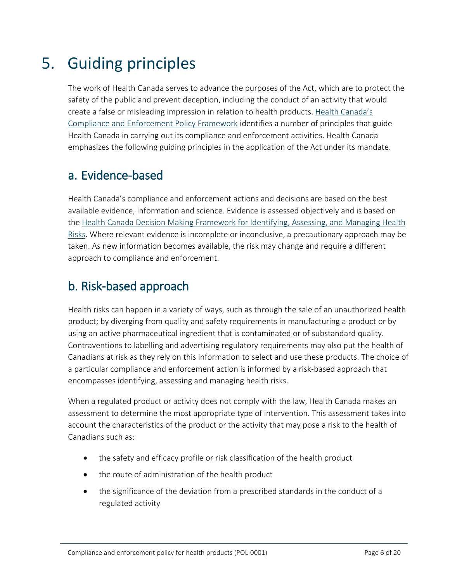## 5. Guiding principles

The work of Health Canada serves to advance the purposes of the Act, which are to protect the safety of the public and prevent deception, including the conduct of an activity that would create a false or misleading impression in relation to health products. [Health Canada's](https://www.canada.ca/en/health-canada/corporate/mandate/regulatory-role/what-health-canada-does-as-regulator/compliance-enforcement-framework.html)  [Compliance and Enforcement Policy Framework](https://www.canada.ca/en/health-canada/corporate/mandate/regulatory-role/what-health-canada-does-as-regulator/compliance-enforcement-framework.html) identifies a number of principles that guide Health Canada in carrying out its compliance and enforcement activities. Health Canada emphasizes the following guiding principles in the application of the Act under its mandate.

#### a. Evidence-based

Health Canada's compliance and enforcement actions and decisions are based on the best available evidence, information and science. Evidence is assessed objectively and is based on the [Health Canada Decision Making Framework for Identifying,](https://www.canada.ca/en/health-canada/corporate/about-health-canada/reports-publications/health-products-food-branch/health-canada-decision-making-framework-identifying-assessing-managing-health-risks.html) Assessing, and Managing Health [Risks.](https://www.canada.ca/en/health-canada/corporate/about-health-canada/reports-publications/health-products-food-branch/health-canada-decision-making-framework-identifying-assessing-managing-health-risks.html) Where relevant evidence is incomplete or inconclusive, a precautionary approach may be taken. As new information becomes available, the risk may change and require a different approach to compliance and enforcement.

### b. Risk-based approach

Health risks can happen in a variety of ways, such as through the sale of an unauthorized health product; by diverging from quality and safety requirements in manufacturing a product or by using an active pharmaceutical ingredient that is contaminated or of substandard quality. Contraventions to labelling and advertising regulatory requirements may also put the health of Canadians at risk as they rely on this information to select and use these products. The choice of a particular compliance and enforcement action is informed by a risk-based approach that encompasses identifying, assessing and managing health risks.

When a regulated product or activity does not comply with the law, Health Canada makes an assessment to determine the most appropriate type of intervention. This assessment takes into account the characteristics of the product or the activity that may pose a risk to the health of Canadians such as:

- the safety and efficacy profile or risk classification of the health product
- the route of administration of the health product
- the significance of the deviation from a prescribed standards in the conduct of a regulated activity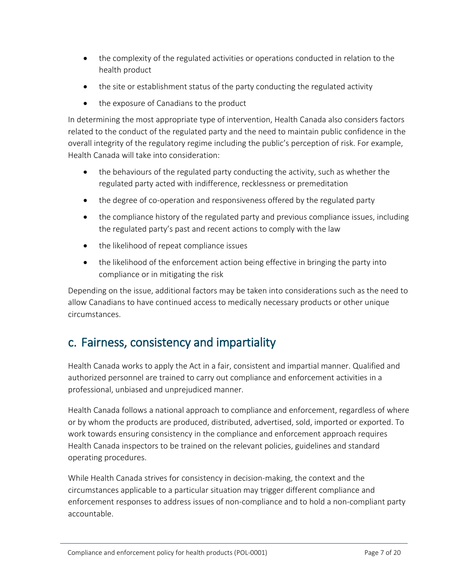- the complexity of the regulated activities or operations conducted in relation to the health product
- the site or establishment status of the party conducting the regulated activity
- the exposure of Canadians to the product

In determining the most appropriate type of intervention, Health Canada also considers factors related to the conduct of the regulated party and the need to maintain public confidence in the overall integrity of the regulatory regime including the public's perception of risk. For example, Health Canada will take into consideration:

- the behaviours of the regulated party conducting the activity, such as whether the regulated party acted with indifference, recklessness or premeditation
- the degree of co-operation and responsiveness offered by the regulated party
- the compliance history of the regulated party and previous compliance issues, including the regulated party's past and recent actions to comply with the law
- the likelihood of repeat compliance issues
- the likelihood of the enforcement action being effective in bringing the party into compliance or in mitigating the risk

Depending on the issue, additional factors may be taken into considerations such as the need to allow Canadians to have continued access to medically necessary products or other unique circumstances.

### c. Fairness, consistency and impartiality

Health Canada works to apply the Act in a fair, consistent and impartial manner. Qualified and authorized personnel are trained to carry out compliance and enforcement activities in a professional, unbiased and unprejudiced manner.

Health Canada follows a national approach to compliance and enforcement, regardless of where or by whom the products are produced, distributed, advertised, sold, imported or exported. To work towards ensuring consistency in the compliance and enforcement approach requires Health Canada inspectors to be trained on the relevant policies, guidelines and standard operating procedures.

While Health Canada strives for consistency in decision-making, the context and the circumstances applicable to a particular situation may trigger different compliance and enforcement responses to address issues of non-compliance and to hold a non-compliant party accountable.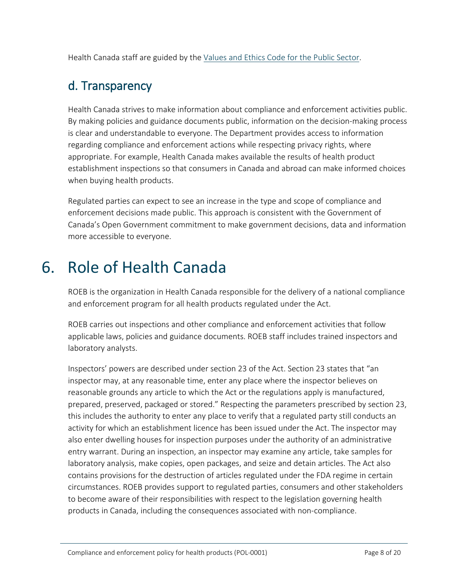Health Canada staff are guided by the [Values and Ethics Code for the Public Sector.](https://www.tbs-sct.gc.ca/pol/doc-eng.aspx?id=25049)

### d. Transparency

Health Canada strives to make information about compliance and enforcement activities public. By making policies and guidance documents public, information on the decision-making process is clear and understandable to everyone. The Department provides access to information regarding compliance and enforcement actions while respecting privacy rights, where appropriate. For example, Health Canada makes available the results of health product establishment inspections so that consumers in Canada and abroad can make informed choices when buying health products.

Regulated parties can expect to see an increase in the type and scope of compliance and enforcement decisions made public. This approach is consistent with the Government of Canada's Open Government commitment to make government decisions, data and information more accessible to everyone.

## 6. Role of Health Canada

ROEB is the organization in Health Canada responsible for the delivery of a national compliance and enforcement program for all health products regulated under the Act.

ROEB carries out inspections and other compliance and enforcement activities that follow applicable laws, policies and guidance documents. ROEB staff includes trained inspectors and laboratory analysts.

Inspectors' powers are described under section 23 of the Act. Section 23 states that "an inspector may, at any reasonable time, enter any place where the inspector believes on reasonable grounds any article to which the Act or the regulations apply is manufactured, prepared, preserved, packaged or stored." Respecting the parameters prescribed by section 23, this includes the authority to enter any place to verify that a regulated party still conducts an activity for which an establishment licence has been issued under the Act. The inspector may also enter dwelling houses for inspection purposes under the authority of an administrative entry warrant. During an inspection, an inspector may examine any article, take samples for laboratory analysis, make copies, open packages, and seize and detain articles. The Act also contains provisions for the destruction of articles regulated under the FDA regime in certain circumstances. ROEB provides support to regulated parties, consumers and other stakeholders to become aware of their responsibilities with respect to the legislation governing health products in Canada, including the consequences associated with non-compliance.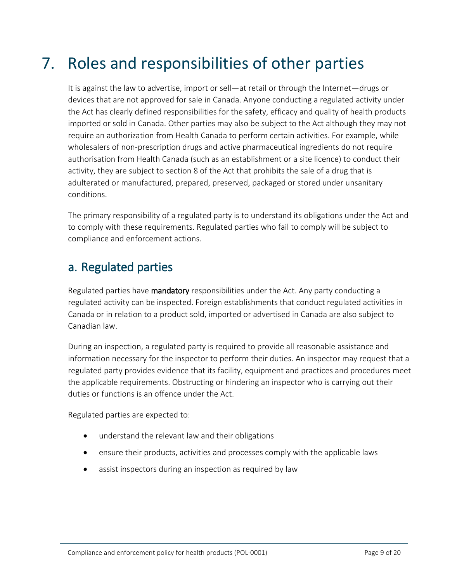## 7. Roles and responsibilities of other parties

It is against the law to advertise, import or sell—at retail or through the Internet—drugs or devices that are not approved for sale in Canada. Anyone conducting a regulated activity under the Act has clearly defined responsibilities for the safety, efficacy and quality of health products imported or sold in Canada. Other parties may also be subject to the Act although they may not require an authorization from Health Canada to perform certain activities. For example, while wholesalers of non-prescription drugs and active pharmaceutical ingredients do not require authorisation from Health Canada (such as an establishment or a site licence) to conduct their activity, they are subject to section 8 of the Act that prohibits the sale of a drug that is adulterated or manufactured, prepared, preserved, packaged or stored under unsanitary conditions.

The primary responsibility of a regulated party is to understand its obligations under the Act and to comply with these requirements. Regulated parties who fail to comply will be subject to compliance and enforcement actions.

### a. Regulated parties

Regulated parties have mandatory responsibilities under the Act. Any party conducting a regulated activity can be inspected. Foreign establishments that conduct regulated activities in Canada or in relation to a product sold, imported or advertised in Canada are also subject to Canadian law.

During an inspection, a regulated party is required to provide all reasonable assistance and information necessary for the inspector to perform their duties. An inspector may request that a regulated party provides evidence that its facility, equipment and practices and procedures meet the applicable requirements. Obstructing or hindering an inspector who is carrying out their duties or functions is an offence under the Act.

Regulated parties are expected to:

- understand the relevant law and their obligations
- ensure their products, activities and processes comply with the applicable laws
- assist inspectors during an inspection as required by law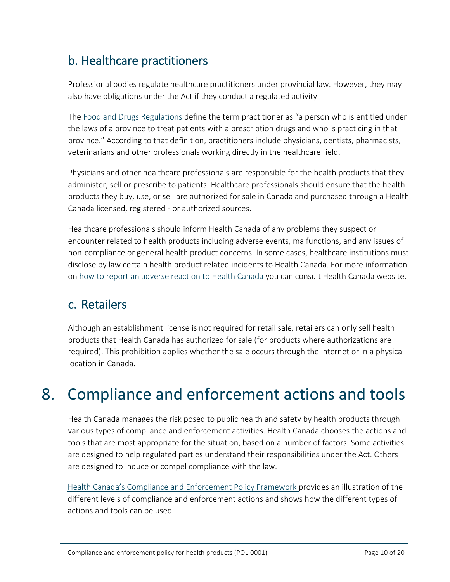### b. Healthcare practitioners

Professional bodies regulate healthcare practitioners under provincial law. However, they may also have obligations under the Act if they conduct a regulated activity.

The [Food and Drugs Regulations](https://laws-lois.justice.gc.ca/eng/regulations/c.r.c.,_c._870/index.html?wbdisable=true) define the term practitioner as "a person who is entitled under the laws of a province to treat patients with a prescription drugs and who is practicing in that province." According to that definition, practitioners include physicians, dentists, pharmacists, veterinarians and other professionals working directly in the healthcare field.

Physicians and other healthcare professionals are responsible for the health products that they administer, sell or prescribe to patients. Healthcare professionals should ensure that the health products they buy, use, or sell are authorized for sale in Canada and purchased through a Health Canada licensed, registered - or authorized sources.

Healthcare professionals should inform Health Canada of any problems they suspect or encounter related to health products including adverse events, malfunctions, and any issues of non-compliance or general health product concerns. In some cases, healthcare institutions must disclose by law certain health product related incidents to Health Canada. For more information on [how to report an adverse reaction to Health Canada](https://www.canada.ca/en/health-canada/services/drugs-health-products/medeffect-canada/adverse-reaction-reporting.html) you can consult Health Canada website.

### c. Retailers

Although an establishment license is not required for retail sale, retailers can only sell health products that Health Canada has authorized for sale (for products where authorizations are required). This prohibition applies whether the sale occurs through the internet or in a physical location in Canada.

## 8. Compliance and enforcement actions and tools

Health Canada manages the risk posed to public health and safety by health products through various types of compliance and enforcement activities. Health Canada chooses the actions and tools that are most appropriate for the situation, based on a number of factors. Some activities are designed to help regulated parties understand their responsibilities under the Act. Others are designed to induce or compel compliance with the law.

[Health Canada's Compliance and Enforcement Policy Framework](https://www.canada.ca/en/health-canada/corporate/mandate/regulatory-role/what-health-canada-does-as-regulator/compliance-enforcement-framework.html) provides an illustration of the different levels of compliance and enforcement actions and shows how the different types of actions and tools can be used.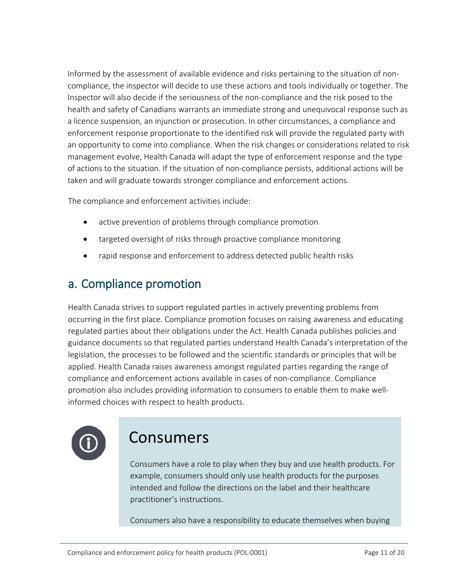Informed by the assessment of available evidence and risks pertaining to the situation of noncompliance, the inspector will decide to use these actions and tools individually or together. The Inspector will also decide if the seriousness of the non-compliance and the risk posed to the health and safety of Canadians warrants an immediate strong and unequivocal response such as a licence suspension, an injunction or prosecution. In other circumstances, a compliance and enforcement response proportionate to the identified risk will provide the regulated party with an opportunity to come into compliance. When the risk changes or considerations related to risk management evolve, Health Canada will adapt the type of enforcement response and the type of actions to the situation. If the situation of non-compliance persists, additional actions will be taken and will graduate towards stronger compliance and enforcement actions.

The compliance and enforcement activities include:

- active prevention of problems through compliance promotion
- targeted oversight of risks through proactive compliance monitoring
- rapid response and enforcement to address detected public health risks

### a. Compliance promotion

Health Canada strives to support regulated parties in actively preventing problems from occurring in the first place. Compliance promotion focuses on raising awareness and educating regulated parties about their obligations under the Act. Health Canada publishes policies and guidance documents so that regulated parties understand Health Canada's interpretation of the legislation, the processes to be followed and the scientific standards or principles that will be applied. Health Canada raises awareness amongst regulated parties regarding the range of compliance and enforcement actions available in cases of non-compliance. Compliance promotion also includes providing information to consumers to enable them to make wellinformed choices with respect to health products.



## Consumers

Consumers have a role to play when they buy and use health products. For example, consumers should only use health products for the purposes intended and follow the directions on the label and their healthcare practitioner's instructions.

Consumers also have a responsibility to educate themselves when buying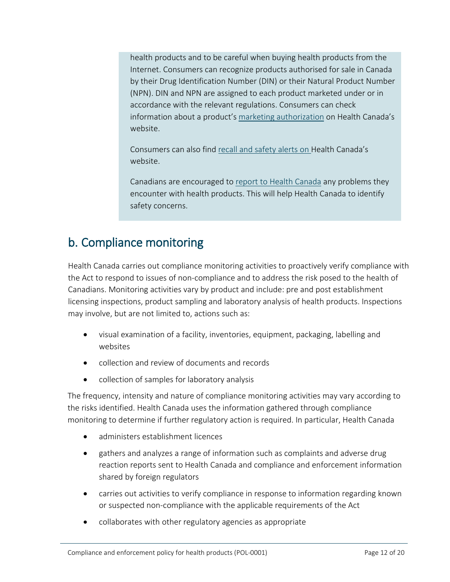health products and to be careful when buying health products from the Internet. Consumers can recognize products authorised for sale in Canada by their Drug Identification Number (DIN) or their Natural Product Number (NPN). DIN and NPN are assigned to each product marketed under or in accordance with the relevant regulations. Consumers can check information about a product's [marketing authorization](https://www.canada.ca/en/health-canada/services/drugs-health-products/drug-products.html) on Health Canada's website.

Consumers can also find [recall and safety alerts](http://healthycanadians.gc.ca/recall-alert-rappel-avis/index-eng.php) on Health Canada's website.

Canadians are encouraged to [report to Health Canada](https://www.canada.ca/en/health-canada/services/drugs-health-products/medeffect-canada/adverse-reaction-reporting.html) any problems they encounter with health products. This will help Health Canada to identify safety concerns.

### b. Compliance monitoring

Health Canada carries out compliance monitoring activities to proactively verify compliance with the Act to respond to issues of non-compliance and to address the risk posed to the health of Canadians. Monitoring activities vary by product and include: pre and post establishment licensing inspections, product sampling and laboratory analysis of health products. Inspections may involve, but are not limited to, actions such as:

- visual examination of a facility, inventories, equipment, packaging, labelling and websites
- collection and review of documents and records
- collection of samples for laboratory analysis

The frequency, intensity and nature of compliance monitoring activities may vary according to the risks identified. Health Canada uses the information gathered through compliance monitoring to determine if further regulatory action is required. In particular, Health Canada

- administers establishment licences
- gathers and analyzes a range of information such as complaints and adverse drug reaction reports sent to Health Canada and compliance and enforcement information shared by foreign regulators
- carries out activities to verify compliance in response to information regarding known or suspected non-compliance with the applicable requirements of the Act
- collaborates with other regulatory agencies as appropriate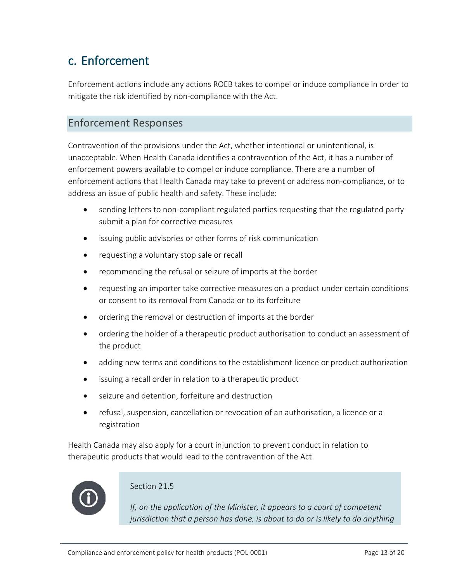### c. Enforcement

Enforcement actions include any actions ROEB takes to compel or induce compliance in order to mitigate the risk identified by non-compliance with the Act.

#### Enforcement Responses

Contravention of the provisions under the Act, whether intentional or unintentional, is unacceptable. When Health Canada identifies a contravention of the Act, it has a number of enforcement powers available to compel or induce compliance. There are a number of enforcement actions that Health Canada may take to prevent or address non-compliance, or to address an issue of public health and safety. These include:

- sending letters to non-compliant regulated parties requesting that the regulated party submit a plan for corrective measures
- issuing public advisories or other forms of risk communication
- requesting a voluntary stop sale or recall
- recommending the refusal or seizure of imports at the border
- requesting an importer take corrective measures on a product under certain conditions or consent to its removal from Canada or to its forfeiture
- ordering the removal or destruction of imports at the border
- ordering the holder of a therapeutic product authorisation to conduct an assessment of the product
- adding new terms and conditions to the establishment licence or product authorization
- issuing a recall order in relation to a therapeutic product
- seizure and detention, forfeiture and destruction
- refusal, suspension, cancellation or revocation of an authorisation, a licence or a registration

Health Canada may also apply for a court injunction to prevent conduct in relation to therapeutic products that would lead to the contravention of the Act.



#### Section 21.5

*If, on the application of the Minister, it appears to a court of competent jurisdiction that a person has done, is about to do or is likely to do anything*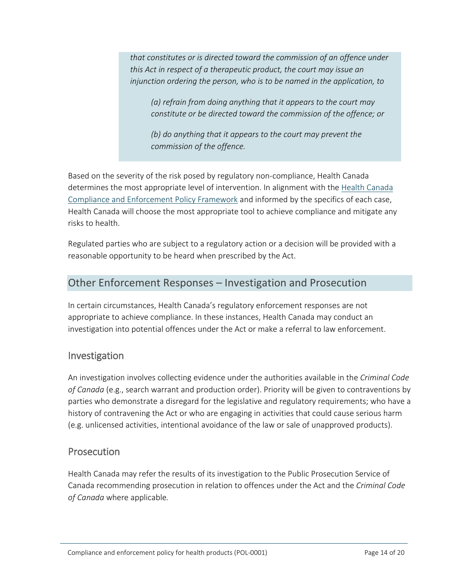*that constitutes or is directed toward the commission of an offence under this Act in respect of a therapeutic product, the court may issue an injunction ordering the person, who is to be named in the application, to*

*(a) refrain from doing anything that it appears to the court may constitute or be directed toward the commission of the offence; or*

*(b) do anything that it appears to the court may prevent the commission of the offence.*

Based on the severity of the risk posed by regulatory non-compliance, Health Canada determines the most appropriate level of intervention. In alignment with the [Health Canada](https://www.canada.ca/en/health-canada/corporate/mandate/regulatory-role/what-health-canada-does-as-regulator/compliance-enforcement-framework.html)  [Compliance and Enforcement Policy Framework](https://www.canada.ca/en/health-canada/corporate/mandate/regulatory-role/what-health-canada-does-as-regulator/compliance-enforcement-framework.html) and informed by the specifics of each case, Health Canada will choose the most appropriate tool to achieve compliance and mitigate any risks to health.

Regulated parties who are subject to a regulatory action or a decision will be provided with a reasonable opportunity to be heard when prescribed by the Act.

#### Other Enforcement Responses – Investigation and Prosecution

In certain circumstances, Health Canada's regulatory enforcement responses are not appropriate to achieve compliance. In these instances, Health Canada may conduct an investigation into potential offences under the Act or make a referral to law enforcement.

#### Investigation

An investigation involves collecting evidence under the authorities available in the *Criminal Code of Canada* (e.g., search warrant and production order). Priority will be given to contraventions by parties who demonstrate a disregard for the legislative and regulatory requirements; who have a history of contravening the Act or who are engaging in activities that could cause serious harm (e.g. unlicensed activities, intentional avoidance of the law or sale of unapproved products).

#### **Prosecution**

Health Canada may refer the results of its investigation to the Public Prosecution Service of Canada recommending prosecution in relation to offences under the Act and the *Criminal Code of Canada* where applicable*.*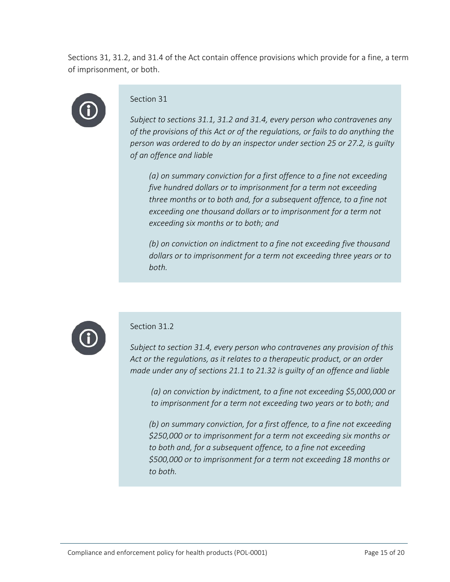Sections 31, 31.2, and 31.4 of the Act contain offence provisions which provide for a fine, a term of imprisonment, or both.



#### Section 31

*Subject to sections 31.1, 31.2 and 31.4, every person who contravenes any of the provisions of this Act or of the regulations, or fails to do anything the person was ordered to do by an inspector under section 25 or 27.2, is guilty of an offence and liable*

*(a) on summary conviction for a first offence to a fine not exceeding five hundred dollars or to imprisonment for a term not exceeding three months or to both and, for a subsequent offence, to a fine not exceeding one thousand dollars or to imprisonment for a term not exceeding six months or to both; and*

*(b) on conviction on indictment to a fine not exceeding five thousand dollars or to imprisonment for a term not exceeding three years or to both.*



#### Section 31.2

*Subject to section 31.4, every person who contravenes any provision of this Act or the regulations, as it relates to a therapeutic product, or an order made under any of sections 21.1 to 21.32 is guilty of an offence and liable*

*(a) on conviction by indictment, to a fine not exceeding \$5,000,000 or to imprisonment for a term not exceeding two years or to both; and*

*(b) on summary conviction, for a first offence, to a fine not exceeding \$250,000 or to imprisonment for a term not exceeding six months or to both and, for a subsequent offence, to a fine not exceeding \$500,000 or to imprisonment for a term not exceeding 18 months or to both.*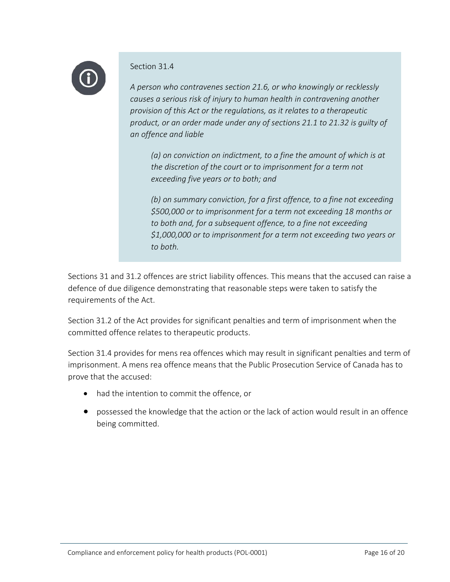

#### Section 31.4

*A person who contravenes section 21.6, or who knowingly or recklessly causes a serious risk of injury to human health in contravening another provision of this Act or the regulations, as it relates to a therapeutic product, or an order made under any of sections 21.1 to 21.32 is guilty of an offence and liable*

*(a) on conviction on indictment, to a fine the amount of which is at the discretion of the court or to imprisonment for a term not exceeding five years or to both; and*

*(b) on summary conviction, for a first offence, to a fine not exceeding \$500,000 or to imprisonment for a term not exceeding 18 months or to both and, for a subsequent offence, to a fine not exceeding \$1,000,000 or to imprisonment for a term not exceeding two years or to both.*

Sections 31 and 31.2 offences are strict liability offences. This means that the accused can raise a defence of due diligence demonstrating that reasonable steps were taken to satisfy the requirements of the Act.

Section 31.2 of the Act provides for significant penalties and term of imprisonment when the committed offence relates to therapeutic products.

Section 31.4 provides for mens rea offences which may result in significant penalties and term of imprisonment. A mens rea offence means that the Public Prosecution Service of Canada has to prove that the accused:

- had the intention to commit the offence, or
- possessed the knowledge that the action or the lack of action would result in an offence being committed.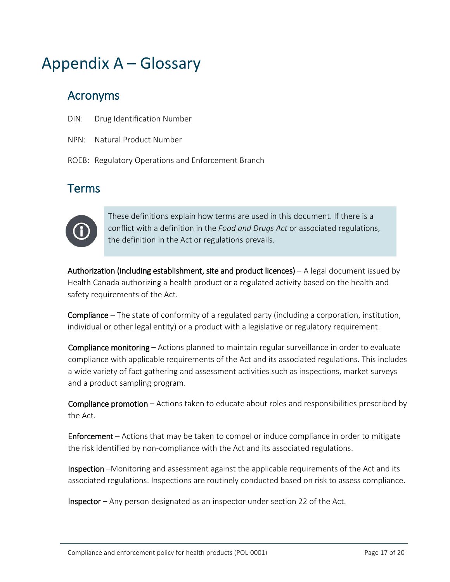## Appendix A – Glossary

### Acronyms

- DIN: Drug Identification Number
- NPN: Natural Product Number
- ROEB: Regulatory Operations and Enforcement Branch

### Terms



These definitions explain how terms are used in this document. If there is a conflict with a definition in the *Food and Drugs Act* or associated regulations, the definition in the Act or regulations prevails.

Authorization (including establishment, site and product licences)  $- A$  legal document issued by Health Canada authorizing a health product or a regulated activity based on the health and safety requirements of the Act.

Compliance – The state of conformity of a regulated party (including a corporation, institution, individual or other legal entity) or a product with a legislative or regulatory requirement.

Compliance monitoring – Actions planned to maintain regular surveillance in order to evaluate compliance with applicable requirements of the Act and its associated regulations. This includes a wide variety of fact gathering and assessment activities such as inspections, market surveys and a product sampling program.

Compliance promotion – Actions taken to educate about roles and responsibilities prescribed by the Act.

Enforcement – Actions that may be taken to compel or induce compliance in order to mitigate the risk identified by non-compliance with the Act and its associated regulations.

Inspection –Monitoring and assessment against the applicable requirements of the Act and its associated regulations. Inspections are routinely conducted based on risk to assess compliance.

Inspector – Any person designated as an inspector under section 22 of the Act.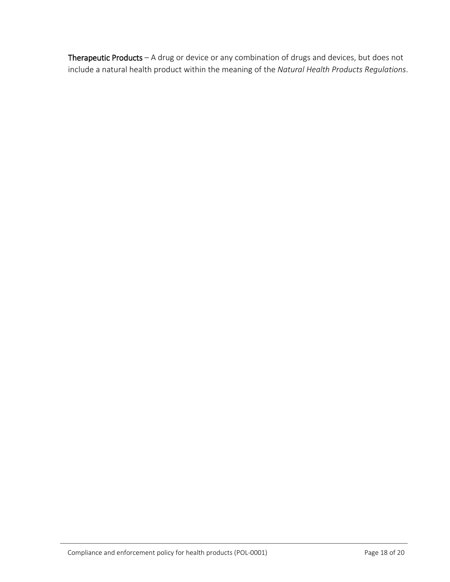Therapeutic Products – A drug or device or any combination of drugs and devices, but does not include a natural health product within the meaning of the *Natural Health Products Regulations*.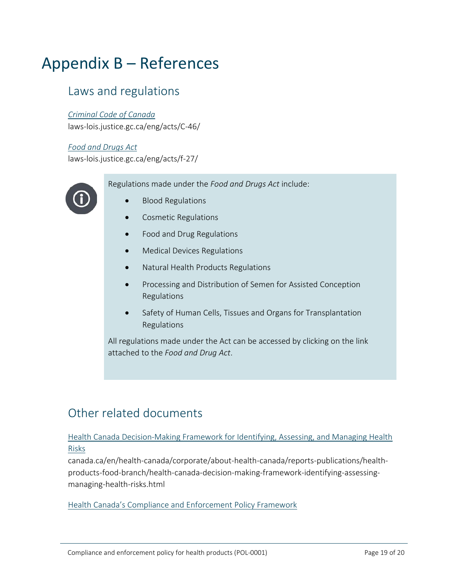## Appendix B – References

#### Laws and regulations

#### *[Criminal Code of Canada](http://laws-lois.justice.gc.ca/eng/acts/C-46/)*

laws-lois.justice.gc.ca/eng/acts/C-46/

#### *[Food and Drugs Act](http://laws-lois.justice.gc.ca/eng/acts/f-27/)*

laws-lois.justice.gc.ca/eng/acts/f-27/

Regulations made under the *Food and Drugs Act* include:



- [Blood Regulations](https://laws-lois.justice.gc.ca/eng/regulations/SOR-2013-178/index.html)
- [Cosmetic Regulations](https://laws-lois.justice.gc.ca/eng/regulations/C.R.C.,_c._869/index.html)
- [Food and Drug Regulations](https://laws-lois.justice.gc.ca/eng/regulations/C.R.C.,_c._870/index.html)
- [Medical Devices Regulations](https://laws-lois.justice.gc.ca/eng/regulations/SOR-98-282/index.html)
- [Natural Health Products Regulations](https://laws-lois.justice.gc.ca/eng/regulations/SOR-2003-196/index.html)
- [Processing and Distribution of Semen for Assisted Conception](https://laws-lois.justice.gc.ca/eng/regulations/SOR-96-254/index.html)  [Regulations](https://laws-lois.justice.gc.ca/eng/regulations/SOR-96-254/index.html)
- [Safety of Human Cells, Tissues and Organs for Transplantation](https://laws-lois.justice.gc.ca/eng/regulations/SOR-2007-118/index.html)  [Regulations](https://laws-lois.justice.gc.ca/eng/regulations/SOR-2007-118/index.html)

All regulations made under the Act can be accessed by clicking on the link attached to the *Food and Drug Act*.

### Other related documents

#### [Health Canada Decision-Making Framework for Identifying, Assessing, and Managing Health](https://www.canada.ca/en/health-canada/corporate/about-health-canada/reports-publications/health-products-food-branch/health-canada-decision-making-framework-identifying-assessing-managing-health-risks.html)  [Risks](https://www.canada.ca/en/health-canada/corporate/about-health-canada/reports-publications/health-products-food-branch/health-canada-decision-making-framework-identifying-assessing-managing-health-risks.html)

canada.ca/en/health-canada/corporate/about-health-canada/reports-publications/healthproducts-food-branch/health-canada-decision-making-framework-identifying-assessingmanaging-health-risks.html

[Health Canada's Compliance and Enforcement Policy Framework](https://www.canada.ca/en/health-canada/corporate/mandate/regulatory-role/what-health-canada-does-as-regulator/compliance-enforcement-framework.html)